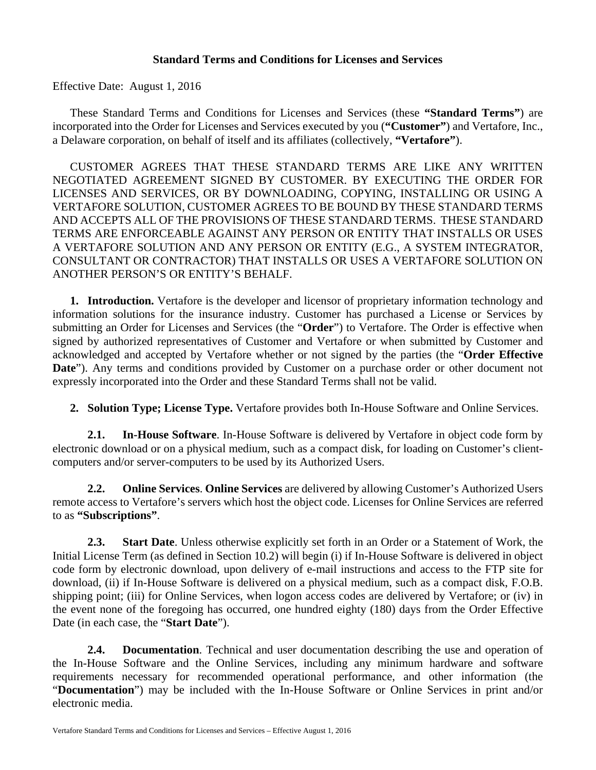### **Standard Terms and Conditions for Licenses and Services**

Effective Date: August 1, 2016

These Standard Terms and Conditions for Licenses and Services (these **"Standard Terms"**) are incorporated into the Order for Licenses and Services executed by you (**"Customer"**) and Vertafore, Inc., a Delaware corporation, on behalf of itself and its affiliates (collectively, **"Vertafore"**).

CUSTOMER AGREES THAT THESE STANDARD TERMS ARE LIKE ANY WRITTEN NEGOTIATED AGREEMENT SIGNED BY CUSTOMER. BY EXECUTING THE ORDER FOR LICENSES AND SERVICES, OR BY DOWNLOADING, COPYING, INSTALLING OR USING A VERTAFORE SOLUTION, CUSTOMER AGREES TO BE BOUND BY THESE STANDARD TERMS AND ACCEPTS ALL OF THE PROVISIONS OF THESE STANDARD TERMS. THESE STANDARD TERMS ARE ENFORCEABLE AGAINST ANY PERSON OR ENTITY THAT INSTALLS OR USES A VERTAFORE SOLUTION AND ANY PERSON OR ENTITY (E.G., A SYSTEM INTEGRATOR, CONSULTANT OR CONTRACTOR) THAT INSTALLS OR USES A VERTAFORE SOLUTION ON ANOTHER PERSON'S OR ENTITY'S BEHALF.

**1. Introduction.** Vertafore is the developer and licensor of proprietary information technology and information solutions for the insurance industry. Customer has purchased a License or Services by submitting an Order for Licenses and Services (the "**Order**") to Vertafore. The Order is effective when signed by authorized representatives of Customer and Vertafore or when submitted by Customer and acknowledged and accepted by Vertafore whether or not signed by the parties (the "**Order Effective Date**"). Any terms and conditions provided by Customer on a purchase order or other document not expressly incorporated into the Order and these Standard Terms shall not be valid.

**2. Solution Type; License Type.** Vertafore provides both In-House Software and Online Services.

**2.1. In-House Software**. In-House Software is delivered by Vertafore in object code form by electronic download or on a physical medium, such as a compact disk, for loading on Customer's clientcomputers and/or server-computers to be used by its Authorized Users.

**2.2. Online Services**. **Online Services** are delivered by allowing Customer's Authorized Users remote access to Vertafore's servers which host the object code. Licenses for Online Services are referred to as **"Subscriptions"**.

**2.3. Start Date**. Unless otherwise explicitly set forth in an Order or a Statement of Work, the Initial License Term (as defined in Section 10.2) will begin (i) if In-House Software is delivered in object code form by electronic download, upon delivery of e-mail instructions and access to the FTP site for download, (ii) if In-House Software is delivered on a physical medium, such as a compact disk, F.O.B. shipping point; (iii) for Online Services, when logon access codes are delivered by Vertafore; or (iv) in the event none of the foregoing has occurred, one hundred eighty (180) days from the Order Effective Date (in each case, the "**Start Date**").

**2.4. Documentation**. Technical and user documentation describing the use and operation of the In-House Software and the Online Services, including any minimum hardware and software requirements necessary for recommended operational performance, and other information (the "**Documentation**") may be included with the In-House Software or Online Services in print and/or electronic media.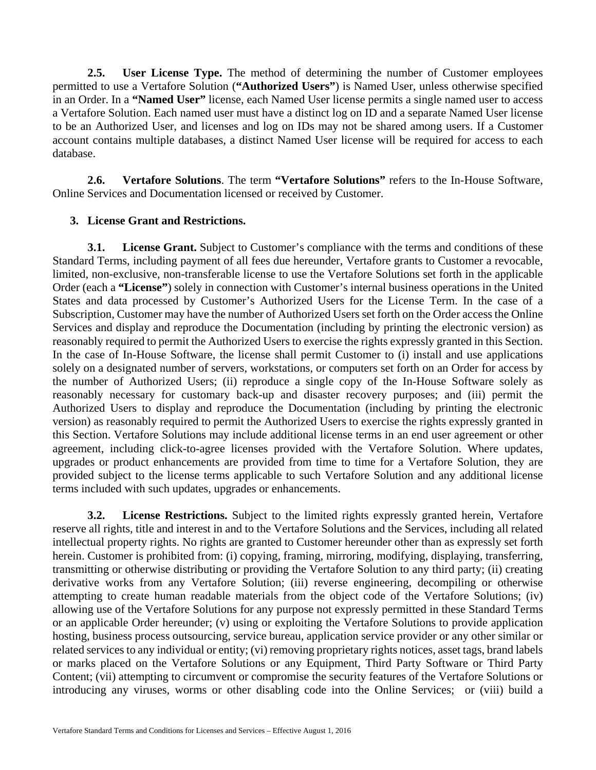**2.5. User License Type.** The method of determining the number of Customer employees permitted to use a Vertafore Solution (**"Authorized Users"**) is Named User, unless otherwise specified in an Order. In a **"Named User"** license, each Named User license permits a single named user to access a Vertafore Solution. Each named user must have a distinct log on ID and a separate Named User license to be an Authorized User, and licenses and log on IDs may not be shared among users. If a Customer account contains multiple databases, a distinct Named User license will be required for access to each database.

**2.6. Vertafore Solutions**. The term **"Vertafore Solutions"** refers to the In-House Software, Online Services and Documentation licensed or received by Customer.

## **3. License Grant and Restrictions.**

**3.1. License Grant.** Subject to Customer's compliance with the terms and conditions of these Standard Terms, including payment of all fees due hereunder, Vertafore grants to Customer a revocable, limited, non-exclusive, non-transferable license to use the Vertafore Solutions set forth in the applicable Order (each a **"License"**) solely in connection with Customer's internal business operations in the United States and data processed by Customer's Authorized Users for the License Term. In the case of a Subscription, Customer may have the number of Authorized Users set forth on the Order access the Online Services and display and reproduce the Documentation (including by printing the electronic version) as reasonably required to permit the Authorized Users to exercise the rights expressly granted in this Section. In the case of In-House Software, the license shall permit Customer to (i) install and use applications solely on a designated number of servers, workstations, or computers set forth on an Order for access by the number of Authorized Users; (ii) reproduce a single copy of the In-House Software solely as reasonably necessary for customary back-up and disaster recovery purposes; and (iii) permit the Authorized Users to display and reproduce the Documentation (including by printing the electronic version) as reasonably required to permit the Authorized Users to exercise the rights expressly granted in this Section. Vertafore Solutions may include additional license terms in an end user agreement or other agreement, including click-to-agree licenses provided with the Vertafore Solution. Where updates, upgrades or product enhancements are provided from time to time for a Vertafore Solution, they are provided subject to the license terms applicable to such Vertafore Solution and any additional license terms included with such updates, upgrades or enhancements.

**3.2. License Restrictions.** Subject to the limited rights expressly granted herein, Vertafore reserve all rights, title and interest in and to the Vertafore Solutions and the Services, including all related intellectual property rights. No rights are granted to Customer hereunder other than as expressly set forth herein. Customer is prohibited from: (i) copying, framing, mirroring, modifying, displaying, transferring, transmitting or otherwise distributing or providing the Vertafore Solution to any third party; (ii) creating derivative works from any Vertafore Solution; (iii) reverse engineering, decompiling or otherwise attempting to create human readable materials from the object code of the Vertafore Solutions; (iv) allowing use of the Vertafore Solutions for any purpose not expressly permitted in these Standard Terms or an applicable Order hereunder; (v) using or exploiting the Vertafore Solutions to provide application hosting, business process outsourcing, service bureau, application service provider or any other similar or related services to any individual or entity; (vi) removing proprietary rights notices, asset tags, brand labels or marks placed on the Vertafore Solutions or any Equipment, Third Party Software or Third Party Content; (vii) attempting to circumvent or compromise the security features of the Vertafore Solutions or introducing any viruses, worms or other disabling code into the Online Services; or (viii) build a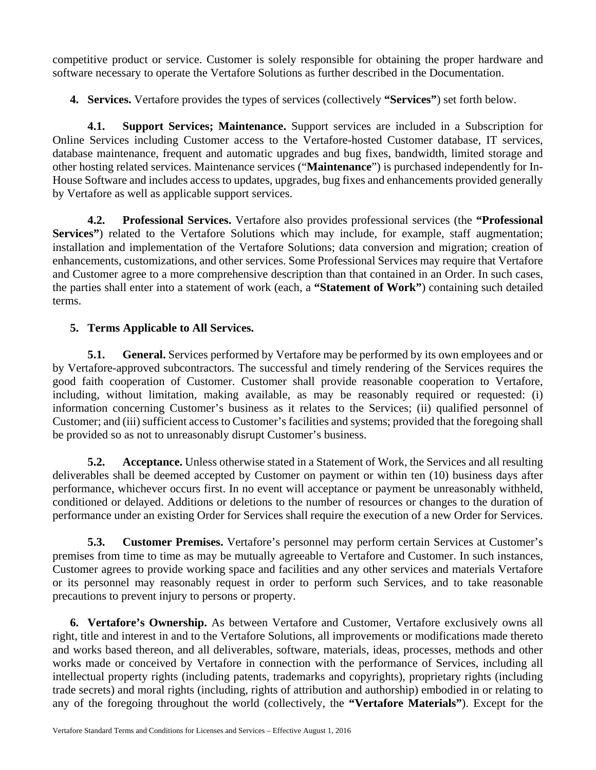competitive product or service. Customer is solely responsible for obtaining the proper hardware and software necessary to operate the Vertafore Solutions as further described in the Documentation.

**4. Services.** Vertafore provides the types of services (collectively **"Services"**) set forth below.

**4.1. Support Services; Maintenance.** Support services are included in a Subscription for Online Services including Customer access to the Vertafore-hosted Customer database, IT services, database maintenance, frequent and automatic upgrades and bug fixes, bandwidth, limited storage and other hosting related services. Maintenance services ("**Maintenance**") is purchased independently for In-House Software and includes access to updates, upgrades, bug fixes and enhancements provided generally by Vertafore as well as applicable support services.

**4.2. Professional Services.** Vertafore also provides professional services (the **"Professional Services"**) related to the Vertafore Solutions which may include, for example, staff augmentation; installation and implementation of the Vertafore Solutions; data conversion and migration; creation of enhancements, customizations, and other services. Some Professional Services may require that Vertafore and Customer agree to a more comprehensive description than that contained in an Order. In such cases, the parties shall enter into a statement of work (each, a **"Statement of Work"**) containing such detailed terms.

# **5. Terms Applicable to All Services.**

**5.1. General.** Services performed by Vertafore may be performed by its own employees and or by Vertafore-approved subcontractors. The successful and timely rendering of the Services requires the good faith cooperation of Customer. Customer shall provide reasonable cooperation to Vertafore, including, without limitation, making available, as may be reasonably required or requested: (i) information concerning Customer's business as it relates to the Services; (ii) qualified personnel of Customer; and (iii) sufficient access to Customer's facilities and systems; provided that the foregoing shall be provided so as not to unreasonably disrupt Customer's business.

**5.2. Acceptance.** Unless otherwise stated in a Statement of Work, the Services and all resulting deliverables shall be deemed accepted by Customer on payment or within ten (10) business days after performance, whichever occurs first. In no event will acceptance or payment be unreasonably withheld, conditioned or delayed. Additions or deletions to the number of resources or changes to the duration of performance under an existing Order for Services shall require the execution of a new Order for Services.

**5.3. Customer Premises.** Vertafore's personnel may perform certain Services at Customer's premises from time to time as may be mutually agreeable to Vertafore and Customer. In such instances, Customer agrees to provide working space and facilities and any other services and materials Vertafore or its personnel may reasonably request in order to perform such Services, and to take reasonable precautions to prevent injury to persons or property.

**6. Vertafore's Ownership.** As between Vertafore and Customer, Vertafore exclusively owns all right, title and interest in and to the Vertafore Solutions, all improvements or modifications made thereto and works based thereon, and all deliverables, software, materials, ideas, processes, methods and other works made or conceived by Vertafore in connection with the performance of Services, including all intellectual property rights (including patents, trademarks and copyrights), proprietary rights (including trade secrets) and moral rights (including, rights of attribution and authorship) embodied in or relating to any of the foregoing throughout the world (collectively, the **"Vertafore Materials"**). Except for the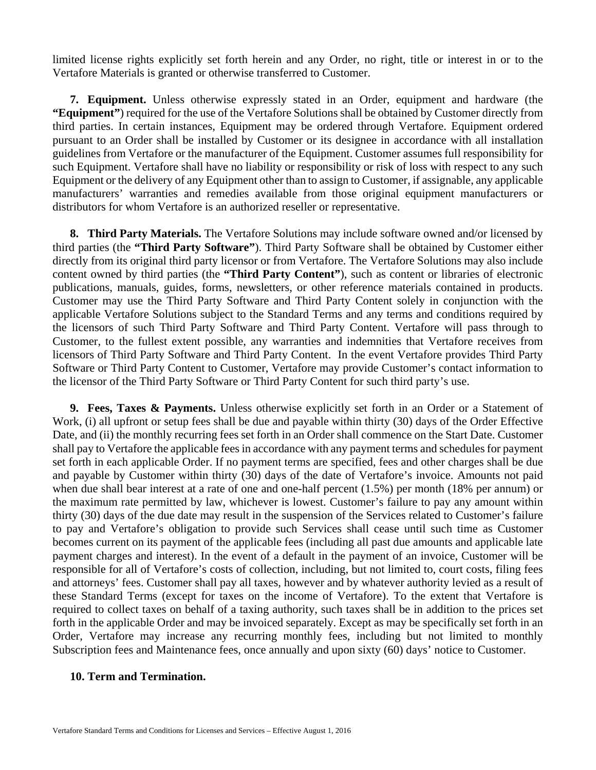limited license rights explicitly set forth herein and any Order, no right, title or interest in or to the Vertafore Materials is granted or otherwise transferred to Customer.

**7. Equipment.** Unless otherwise expressly stated in an Order, equipment and hardware (the **"Equipment"**) required for the use of the Vertafore Solutions shall be obtained by Customer directly from third parties. In certain instances, Equipment may be ordered through Vertafore. Equipment ordered pursuant to an Order shall be installed by Customer or its designee in accordance with all installation guidelines from Vertafore or the manufacturer of the Equipment. Customer assumes full responsibility for such Equipment. Vertafore shall have no liability or responsibility or risk of loss with respect to any such Equipment or the delivery of any Equipment other than to assign to Customer, if assignable, any applicable manufacturers' warranties and remedies available from those original equipment manufacturers or distributors for whom Vertafore is an authorized reseller or representative.

**8. Third Party Materials.** The Vertafore Solutions may include software owned and/or licensed by third parties (the **"Third Party Software"**). Third Party Software shall be obtained by Customer either directly from its original third party licensor or from Vertafore. The Vertafore Solutions may also include content owned by third parties (the **"Third Party Content"**), such as content or libraries of electronic publications, manuals, guides, forms, newsletters, or other reference materials contained in products. Customer may use the Third Party Software and Third Party Content solely in conjunction with the applicable Vertafore Solutions subject to the Standard Terms and any terms and conditions required by the licensors of such Third Party Software and Third Party Content. Vertafore will pass through to Customer, to the fullest extent possible, any warranties and indemnities that Vertafore receives from licensors of Third Party Software and Third Party Content. In the event Vertafore provides Third Party Software or Third Party Content to Customer, Vertafore may provide Customer's contact information to the licensor of the Third Party Software or Third Party Content for such third party's use.

**9. Fees, Taxes & Payments.** Unless otherwise explicitly set forth in an Order or a Statement of Work, (i) all upfront or setup fees shall be due and payable within thirty (30) days of the Order Effective Date, and (ii) the monthly recurring fees set forth in an Order shall commence on the Start Date. Customer shall pay to Vertafore the applicable fees in accordance with any payment terms and schedules for payment set forth in each applicable Order. If no payment terms are specified, fees and other charges shall be due and payable by Customer within thirty (30) days of the date of Vertafore's invoice. Amounts not paid when due shall bear interest at a rate of one and one-half percent (1.5%) per month (18% per annum) or the maximum rate permitted by law, whichever is lowest. Customer's failure to pay any amount within thirty (30) days of the due date may result in the suspension of the Services related to Customer's failure to pay and Vertafore's obligation to provide such Services shall cease until such time as Customer becomes current on its payment of the applicable fees (including all past due amounts and applicable late payment charges and interest). In the event of a default in the payment of an invoice, Customer will be responsible for all of Vertafore's costs of collection, including, but not limited to, court costs, filing fees and attorneys' fees. Customer shall pay all taxes, however and by whatever authority levied as a result of these Standard Terms (except for taxes on the income of Vertafore). To the extent that Vertafore is required to collect taxes on behalf of a taxing authority, such taxes shall be in addition to the prices set forth in the applicable Order and may be invoiced separately. Except as may be specifically set forth in an Order, Vertafore may increase any recurring monthly fees, including but not limited to monthly Subscription fees and Maintenance fees, once annually and upon sixty (60) days' notice to Customer.

#### **10. Term and Termination.**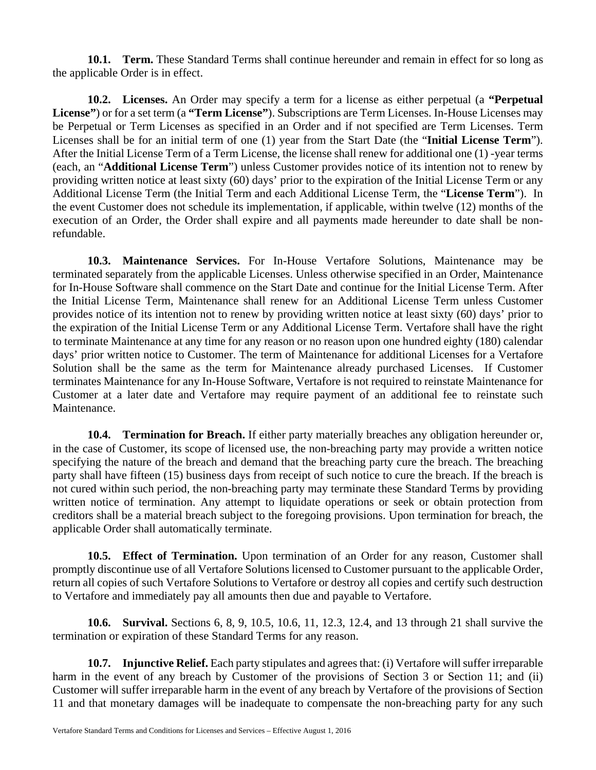**10.1. Term.** These Standard Terms shall continue hereunder and remain in effect for so long as the applicable Order is in effect.

**10.2. Licenses.** An Order may specify a term for a license as either perpetual (a **"Perpetual License"**) or for a set term (a **"Term License"**). Subscriptions are Term Licenses. In-House Licenses may be Perpetual or Term Licenses as specified in an Order and if not specified are Term Licenses. Term Licenses shall be for an initial term of one (1) year from the Start Date (the "**Initial License Term**"). After the Initial License Term of a Term License, the license shall renew for additional one (1) -year terms (each, an "**Additional License Term**") unless Customer provides notice of its intention not to renew by providing written notice at least sixty (60) days' prior to the expiration of the Initial License Term or any Additional License Term (the Initial Term and each Additional License Term, the "**License Term**"). In the event Customer does not schedule its implementation, if applicable, within twelve (12) months of the execution of an Order, the Order shall expire and all payments made hereunder to date shall be nonrefundable.

**10.3. Maintenance Services.** For In-House Vertafore Solutions, Maintenance may be terminated separately from the applicable Licenses. Unless otherwise specified in an Order, Maintenance for In-House Software shall commence on the Start Date and continue for the Initial License Term. After the Initial License Term, Maintenance shall renew for an Additional License Term unless Customer provides notice of its intention not to renew by providing written notice at least sixty (60) days' prior to the expiration of the Initial License Term or any Additional License Term. Vertafore shall have the right to terminate Maintenance at any time for any reason or no reason upon one hundred eighty (180) calendar days' prior written notice to Customer. The term of Maintenance for additional Licenses for a Vertafore Solution shall be the same as the term for Maintenance already purchased Licenses. If Customer terminates Maintenance for any In-House Software, Vertafore is not required to reinstate Maintenance for Customer at a later date and Vertafore may require payment of an additional fee to reinstate such Maintenance.

**10.4. Termination for Breach.** If either party materially breaches any obligation hereunder or, in the case of Customer, its scope of licensed use, the non-breaching party may provide a written notice specifying the nature of the breach and demand that the breaching party cure the breach. The breaching party shall have fifteen (15) business days from receipt of such notice to cure the breach. If the breach is not cured within such period, the non-breaching party may terminate these Standard Terms by providing written notice of termination. Any attempt to liquidate operations or seek or obtain protection from creditors shall be a material breach subject to the foregoing provisions. Upon termination for breach, the applicable Order shall automatically terminate.

**10.5. Effect of Termination.** Upon termination of an Order for any reason, Customer shall promptly discontinue use of all Vertafore Solutions licensed to Customer pursuant to the applicable Order, return all copies of such Vertafore Solutions to Vertafore or destroy all copies and certify such destruction to Vertafore and immediately pay all amounts then due and payable to Vertafore.

**10.6. Survival.** Sections 6, 8, 9, 10.5, 10.6, 11, 12.3, 12.4, and 13 through 21 shall survive the termination or expiration of these Standard Terms for any reason.

**10.7. Injunctive Relief.** Each party stipulates and agrees that: (i) Vertafore will suffer irreparable harm in the event of any breach by Customer of the provisions of Section 3 or Section 11; and (ii) Customer will suffer irreparable harm in the event of any breach by Vertafore of the provisions of Section 11 and that monetary damages will be inadequate to compensate the non-breaching party for any such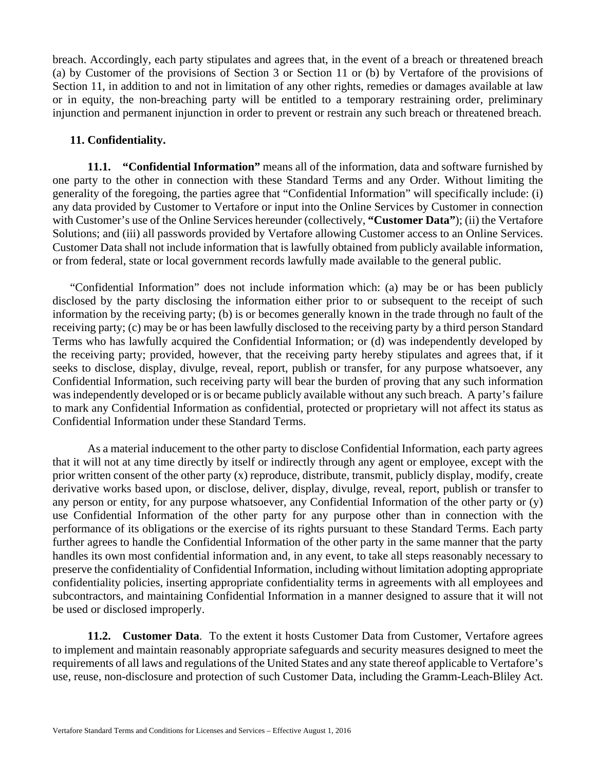breach. Accordingly, each party stipulates and agrees that, in the event of a breach or threatened breach (a) by Customer of the provisions of Section 3 or Section 11 or (b) by Vertafore of the provisions of Section 11, in addition to and not in limitation of any other rights, remedies or damages available at law or in equity, the non-breaching party will be entitled to a temporary restraining order, preliminary injunction and permanent injunction in order to prevent or restrain any such breach or threatened breach.

### **11. Confidentiality.**

**11.1. "Confidential Information"** means all of the information, data and software furnished by one party to the other in connection with these Standard Terms and any Order. Without limiting the generality of the foregoing, the parties agree that "Confidential Information" will specifically include: (i) any data provided by Customer to Vertafore or input into the Online Services by Customer in connection with Customer's use of the Online Services hereunder (collectively, **"Customer Data"**); (ii) the Vertafore Solutions; and (iii) all passwords provided by Vertafore allowing Customer access to an Online Services. Customer Data shall not include information that is lawfully obtained from publicly available information, or from federal, state or local government records lawfully made available to the general public.

"Confidential Information" does not include information which: (a) may be or has been publicly disclosed by the party disclosing the information either prior to or subsequent to the receipt of such information by the receiving party; (b) is or becomes generally known in the trade through no fault of the receiving party; (c) may be or has been lawfully disclosed to the receiving party by a third person Standard Terms who has lawfully acquired the Confidential Information; or (d) was independently developed by the receiving party; provided, however, that the receiving party hereby stipulates and agrees that, if it seeks to disclose, display, divulge, reveal, report, publish or transfer, for any purpose whatsoever, any Confidential Information, such receiving party will bear the burden of proving that any such information was independently developed or is or became publicly available without any such breach. A party's failure to mark any Confidential Information as confidential, protected or proprietary will not affect its status as Confidential Information under these Standard Terms.

As a material inducement to the other party to disclose Confidential Information, each party agrees that it will not at any time directly by itself or indirectly through any agent or employee, except with the prior written consent of the other party (x) reproduce, distribute, transmit, publicly display, modify, create derivative works based upon, or disclose, deliver, display, divulge, reveal, report, publish or transfer to any person or entity, for any purpose whatsoever, any Confidential Information of the other party or (y) use Confidential Information of the other party for any purpose other than in connection with the performance of its obligations or the exercise of its rights pursuant to these Standard Terms. Each party further agrees to handle the Confidential Information of the other party in the same manner that the party handles its own most confidential information and, in any event, to take all steps reasonably necessary to preserve the confidentiality of Confidential Information, including without limitation adopting appropriate confidentiality policies, inserting appropriate confidentiality terms in agreements with all employees and subcontractors, and maintaining Confidential Information in a manner designed to assure that it will not be used or disclosed improperly.

**11.2. Customer Data**. To the extent it hosts Customer Data from Customer, Vertafore agrees to implement and maintain reasonably appropriate safeguards and security measures designed to meet the requirements of all laws and regulations of the United States and any state thereof applicable to Vertafore's use, reuse, non-disclosure and protection of such Customer Data, including the Gramm-Leach-Bliley Act.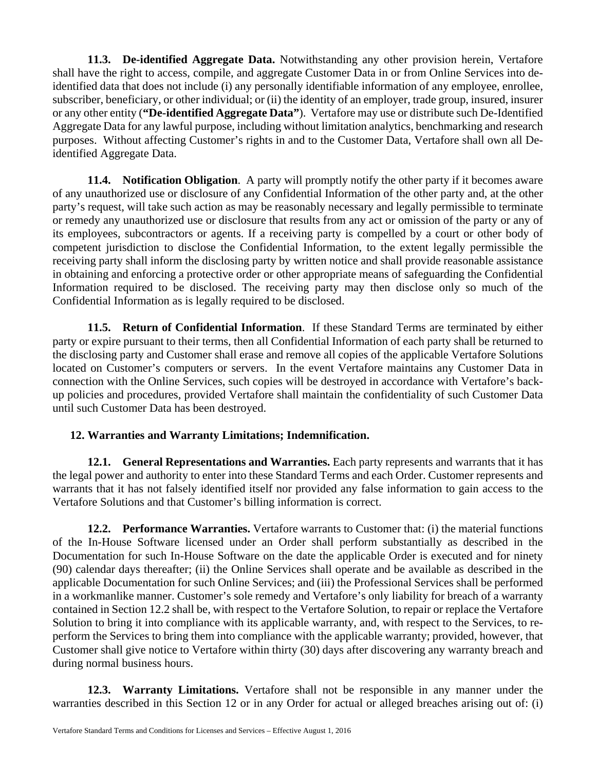**11.3. De-identified Aggregate Data.** Notwithstanding any other provision herein, Vertafore shall have the right to access, compile, and aggregate Customer Data in or from Online Services into deidentified data that does not include (i) any personally identifiable information of any employee, enrollee, subscriber, beneficiary, or other individual; or (ii) the identity of an employer, trade group, insured, insurer or any other entity (**"De-identified Aggregate Data"**). Vertafore may use or distribute such De-Identified Aggregate Data for any lawful purpose, including without limitation analytics, benchmarking and research purposes. Without affecting Customer's rights in and to the Customer Data, Vertafore shall own all Deidentified Aggregate Data.

**11.4. Notification Obligation**. A party will promptly notify the other party if it becomes aware of any unauthorized use or disclosure of any Confidential Information of the other party and, at the other party's request, will take such action as may be reasonably necessary and legally permissible to terminate or remedy any unauthorized use or disclosure that results from any act or omission of the party or any of its employees, subcontractors or agents. If a receiving party is compelled by a court or other body of competent jurisdiction to disclose the Confidential Information, to the extent legally permissible the receiving party shall inform the disclosing party by written notice and shall provide reasonable assistance in obtaining and enforcing a protective order or other appropriate means of safeguarding the Confidential Information required to be disclosed. The receiving party may then disclose only so much of the Confidential Information as is legally required to be disclosed.

**11.5. Return of Confidential Information**. If these Standard Terms are terminated by either party or expire pursuant to their terms, then all Confidential Information of each party shall be returned to the disclosing party and Customer shall erase and remove all copies of the applicable Vertafore Solutions located on Customer's computers or servers. In the event Vertafore maintains any Customer Data in connection with the Online Services, such copies will be destroyed in accordance with Vertafore's backup policies and procedures, provided Vertafore shall maintain the confidentiality of such Customer Data until such Customer Data has been destroyed.

# **12. Warranties and Warranty Limitations; Indemnification.**

**12.1. General Representations and Warranties.** Each party represents and warrants that it has the legal power and authority to enter into these Standard Terms and each Order. Customer represents and warrants that it has not falsely identified itself nor provided any false information to gain access to the Vertafore Solutions and that Customer's billing information is correct.

**12.2. Performance Warranties.** Vertafore warrants to Customer that: (i) the material functions of the In-House Software licensed under an Order shall perform substantially as described in the Documentation for such In-House Software on the date the applicable Order is executed and for ninety (90) calendar days thereafter; (ii) the Online Services shall operate and be available as described in the applicable Documentation for such Online Services; and (iii) the Professional Services shall be performed in a workmanlike manner. Customer's sole remedy and Vertafore's only liability for breach of a warranty contained in Section 12.2 shall be, with respect to the Vertafore Solution, to repair or replace the Vertafore Solution to bring it into compliance with its applicable warranty, and, with respect to the Services, to reperform the Services to bring them into compliance with the applicable warranty; provided, however, that Customer shall give notice to Vertafore within thirty (30) days after discovering any warranty breach and during normal business hours.

**12.3. Warranty Limitations.** Vertafore shall not be responsible in any manner under the warranties described in this Section 12 or in any Order for actual or alleged breaches arising out of: (i)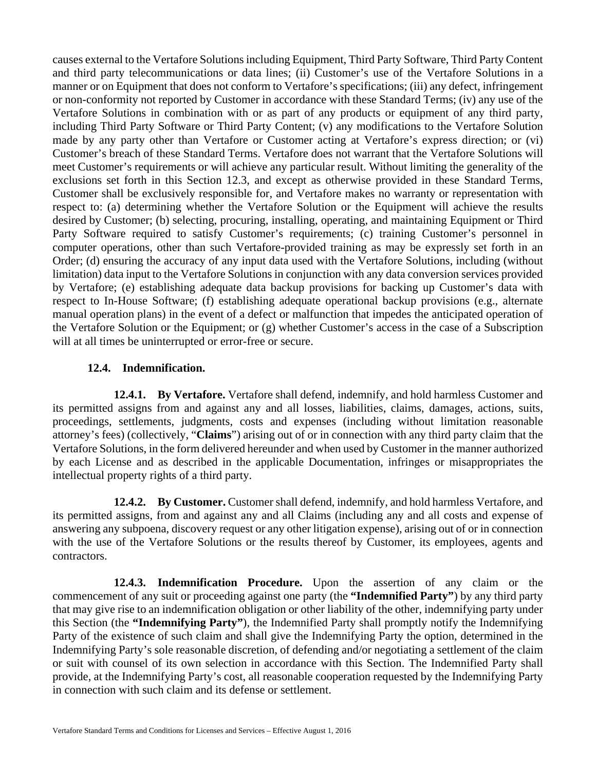causes external to the Vertafore Solutions including Equipment, Third Party Software, Third Party Content and third party telecommunications or data lines; (ii) Customer's use of the Vertafore Solutions in a manner or on Equipment that does not conform to Vertafore's specifications; (iii) any defect, infringement or non-conformity not reported by Customer in accordance with these Standard Terms; (iv) any use of the Vertafore Solutions in combination with or as part of any products or equipment of any third party, including Third Party Software or Third Party Content; (v) any modifications to the Vertafore Solution made by any party other than Vertafore or Customer acting at Vertafore's express direction; or (vi) Customer's breach of these Standard Terms. Vertafore does not warrant that the Vertafore Solutions will meet Customer's requirements or will achieve any particular result. Without limiting the generality of the exclusions set forth in this Section 12.3, and except as otherwise provided in these Standard Terms, Customer shall be exclusively responsible for, and Vertafore makes no warranty or representation with respect to: (a) determining whether the Vertafore Solution or the Equipment will achieve the results desired by Customer; (b) selecting, procuring, installing, operating, and maintaining Equipment or Third Party Software required to satisfy Customer's requirements; (c) training Customer's personnel in computer operations, other than such Vertafore-provided training as may be expressly set forth in an Order; (d) ensuring the accuracy of any input data used with the Vertafore Solutions, including (without limitation) data input to the Vertafore Solutions in conjunction with any data conversion services provided by Vertafore; (e) establishing adequate data backup provisions for backing up Customer's data with respect to In-House Software; (f) establishing adequate operational backup provisions (e.g., alternate manual operation plans) in the event of a defect or malfunction that impedes the anticipated operation of the Vertafore Solution or the Equipment; or (g) whether Customer's access in the case of a Subscription will at all times be uninterrupted or error-free or secure.

## **12.4. Indemnification.**

**12.4.1. By Vertafore.** Vertafore shall defend, indemnify, and hold harmless Customer and its permitted assigns from and against any and all losses, liabilities, claims, damages, actions, suits, proceedings, settlements, judgments, costs and expenses (including without limitation reasonable attorney's fees) (collectively, "**Claims**") arising out of or in connection with any third party claim that the Vertafore Solutions, in the form delivered hereunder and when used by Customer in the manner authorized by each License and as described in the applicable Documentation, infringes or misappropriates the intellectual property rights of a third party.

**12.4.2. By Customer.** Customer shall defend, indemnify, and hold harmless Vertafore, and its permitted assigns, from and against any and all Claims (including any and all costs and expense of answering any subpoena, discovery request or any other litigation expense), arising out of or in connection with the use of the Vertafore Solutions or the results thereof by Customer, its employees, agents and contractors.

**12.4.3. Indemnification Procedure.** Upon the assertion of any claim or the commencement of any suit or proceeding against one party (the **"Indemnified Party"**) by any third party that may give rise to an indemnification obligation or other liability of the other, indemnifying party under this Section (the **"Indemnifying Party"**), the Indemnified Party shall promptly notify the Indemnifying Party of the existence of such claim and shall give the Indemnifying Party the option, determined in the Indemnifying Party's sole reasonable discretion, of defending and/or negotiating a settlement of the claim or suit with counsel of its own selection in accordance with this Section. The Indemnified Party shall provide, at the Indemnifying Party's cost, all reasonable cooperation requested by the Indemnifying Party in connection with such claim and its defense or settlement.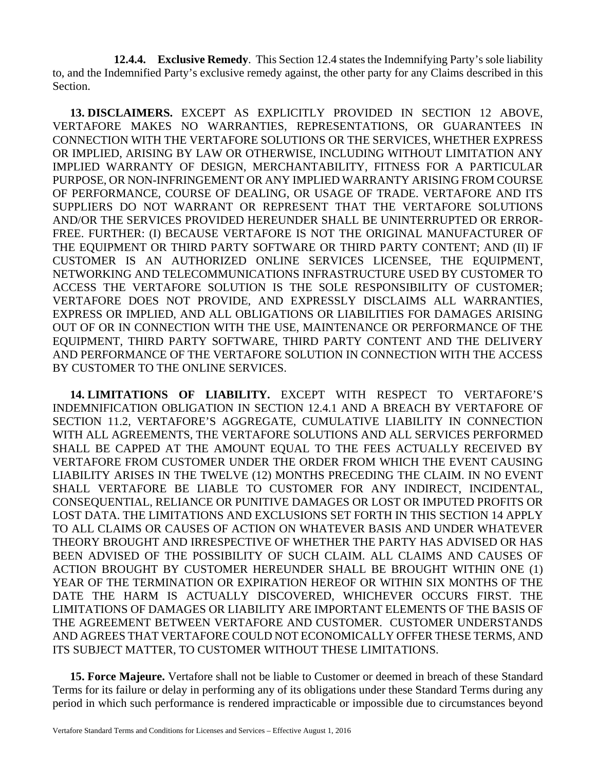**12.4.4. Exclusive Remedy**. This Section 12.4 states the Indemnifying Party's sole liability to, and the Indemnified Party's exclusive remedy against, the other party for any Claims described in this Section.

**13. DISCLAIMERS.** EXCEPT AS EXPLICITLY PROVIDED IN SECTION 12 ABOVE, VERTAFORE MAKES NO WARRANTIES, REPRESENTATIONS, OR GUARANTEES IN CONNECTION WITH THE VERTAFORE SOLUTIONS OR THE SERVICES, WHETHER EXPRESS OR IMPLIED, ARISING BY LAW OR OTHERWISE, INCLUDING WITHOUT LIMITATION ANY IMPLIED WARRANTY OF DESIGN, MERCHANTABILITY, FITNESS FOR A PARTICULAR PURPOSE, OR NON-INFRINGEMENT OR ANY IMPLIED WARRANTY ARISING FROM COURSE OF PERFORMANCE, COURSE OF DEALING, OR USAGE OF TRADE. VERTAFORE AND ITS SUPPLIERS DO NOT WARRANT OR REPRESENT THAT THE VERTAFORE SOLUTIONS AND/OR THE SERVICES PROVIDED HEREUNDER SHALL BE UNINTERRUPTED OR ERROR-FREE. FURTHER: (I) BECAUSE VERTAFORE IS NOT THE ORIGINAL MANUFACTURER OF THE EQUIPMENT OR THIRD PARTY SOFTWARE OR THIRD PARTY CONTENT; AND (II) IF CUSTOMER IS AN AUTHORIZED ONLINE SERVICES LICENSEE, THE EQUIPMENT, NETWORKING AND TELECOMMUNICATIONS INFRASTRUCTURE USED BY CUSTOMER TO ACCESS THE VERTAFORE SOLUTION IS THE SOLE RESPONSIBILITY OF CUSTOMER; VERTAFORE DOES NOT PROVIDE, AND EXPRESSLY DISCLAIMS ALL WARRANTIES, EXPRESS OR IMPLIED, AND ALL OBLIGATIONS OR LIABILITIES FOR DAMAGES ARISING OUT OF OR IN CONNECTION WITH THE USE, MAINTENANCE OR PERFORMANCE OF THE EQUIPMENT, THIRD PARTY SOFTWARE, THIRD PARTY CONTENT AND THE DELIVERY AND PERFORMANCE OF THE VERTAFORE SOLUTION IN CONNECTION WITH THE ACCESS BY CUSTOMER TO THE ONLINE SERVICES.

**14. LIMITATIONS OF LIABILITY.** EXCEPT WITH RESPECT TO VERTAFORE'S INDEMNIFICATION OBLIGATION IN SECTION 12.4.1 AND A BREACH BY VERTAFORE OF SECTION 11.2, VERTAFORE'S AGGREGATE, CUMULATIVE LIABILITY IN CONNECTION WITH ALL AGREEMENTS, THE VERTAFORE SOLUTIONS AND ALL SERVICES PERFORMED SHALL BE CAPPED AT THE AMOUNT EQUAL TO THE FEES ACTUALLY RECEIVED BY VERTAFORE FROM CUSTOMER UNDER THE ORDER FROM WHICH THE EVENT CAUSING LIABILITY ARISES IN THE TWELVE (12) MONTHS PRECEDING THE CLAIM. IN NO EVENT SHALL VERTAFORE BE LIABLE TO CUSTOMER FOR ANY INDIRECT, INCIDENTAL, CONSEQUENTIAL, RELIANCE OR PUNITIVE DAMAGES OR LOST OR IMPUTED PROFITS OR LOST DATA. THE LIMITATIONS AND EXCLUSIONS SET FORTH IN THIS SECTION 14 APPLY TO ALL CLAIMS OR CAUSES OF ACTION ON WHATEVER BASIS AND UNDER WHATEVER THEORY BROUGHT AND IRRESPECTIVE OF WHETHER THE PARTY HAS ADVISED OR HAS BEEN ADVISED OF THE POSSIBILITY OF SUCH CLAIM. ALL CLAIMS AND CAUSES OF ACTION BROUGHT BY CUSTOMER HEREUNDER SHALL BE BROUGHT WITHIN ONE (1) YEAR OF THE TERMINATION OR EXPIRATION HEREOF OR WITHIN SIX MONTHS OF THE DATE THE HARM IS ACTUALLY DISCOVERED, WHICHEVER OCCURS FIRST. THE LIMITATIONS OF DAMAGES OR LIABILITY ARE IMPORTANT ELEMENTS OF THE BASIS OF THE AGREEMENT BETWEEN VERTAFORE AND CUSTOMER. CUSTOMER UNDERSTANDS AND AGREES THAT VERTAFORE COULD NOT ECONOMICALLY OFFER THESE TERMS, AND ITS SUBJECT MATTER, TO CUSTOMER WITHOUT THESE LIMITATIONS.

**15. Force Majeure.** Vertafore shall not be liable to Customer or deemed in breach of these Standard Terms for its failure or delay in performing any of its obligations under these Standard Terms during any period in which such performance is rendered impracticable or impossible due to circumstances beyond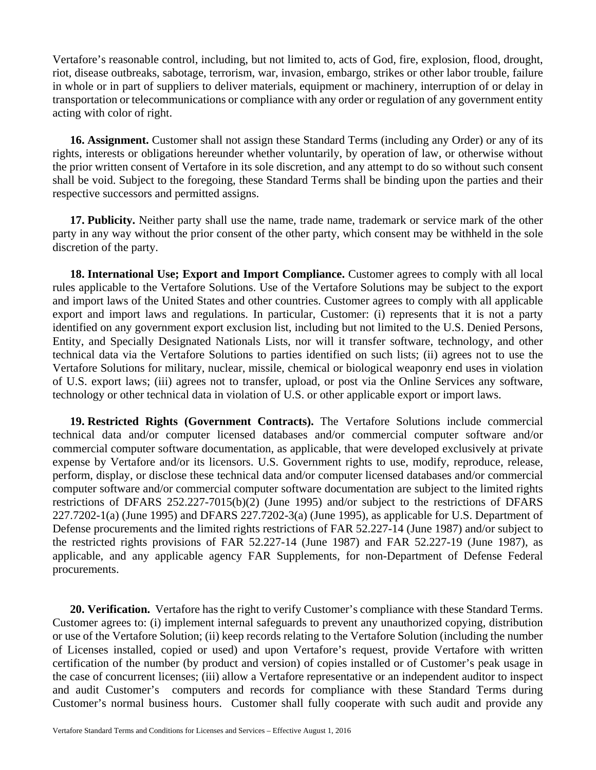Vertafore's reasonable control, including, but not limited to, acts of God, fire, explosion, flood, drought, riot, disease outbreaks, sabotage, terrorism, war, invasion, embargo, strikes or other labor trouble, failure in whole or in part of suppliers to deliver materials, equipment or machinery, interruption of or delay in transportation or telecommunications or compliance with any order or regulation of any government entity acting with color of right.

**16. Assignment.** Customer shall not assign these Standard Terms (including any Order) or any of its rights, interests or obligations hereunder whether voluntarily, by operation of law, or otherwise without the prior written consent of Vertafore in its sole discretion, and any attempt to do so without such consent shall be void. Subject to the foregoing, these Standard Terms shall be binding upon the parties and their respective successors and permitted assigns.

**17. Publicity.** Neither party shall use the name, trade name, trademark or service mark of the other party in any way without the prior consent of the other party, which consent may be withheld in the sole discretion of the party.

**18. International Use; Export and Import Compliance.** Customer agrees to comply with all local rules applicable to the Vertafore Solutions. Use of the Vertafore Solutions may be subject to the export and import laws of the United States and other countries. Customer agrees to comply with all applicable export and import laws and regulations. In particular, Customer: (i) represents that it is not a party identified on any government export exclusion list, including but not limited to the U.S. Denied Persons, Entity, and Specially Designated Nationals Lists, nor will it transfer software, technology, and other technical data via the Vertafore Solutions to parties identified on such lists; (ii) agrees not to use the Vertafore Solutions for military, nuclear, missile, chemical or biological weaponry end uses in violation of U.S. export laws; (iii) agrees not to transfer, upload, or post via the Online Services any software, technology or other technical data in violation of U.S. or other applicable export or import laws.

**19. Restricted Rights (Government Contracts).** The Vertafore Solutions include commercial technical data and/or computer licensed databases and/or commercial computer software and/or commercial computer software documentation, as applicable, that were developed exclusively at private expense by Vertafore and/or its licensors. U.S. Government rights to use, modify, reproduce, release, perform, display, or disclose these technical data and/or computer licensed databases and/or commercial computer software and/or commercial computer software documentation are subject to the limited rights restrictions of DFARS 252.227-7015(b)(2) (June 1995) and/or subject to the restrictions of DFARS 227.7202-1(a) (June 1995) and DFARS 227.7202-3(a) (June 1995), as applicable for U.S. Department of Defense procurements and the limited rights restrictions of FAR 52.227-14 (June 1987) and/or subject to the restricted rights provisions of FAR 52.227-14 (June 1987) and FAR 52.227-19 (June 1987), as applicable, and any applicable agency FAR Supplements, for non-Department of Defense Federal procurements.

**20. Verification.** Vertafore has the right to verify Customer's compliance with these Standard Terms. Customer agrees to: (i) implement internal safeguards to prevent any unauthorized copying, distribution or use of the Vertafore Solution; (ii) keep records relating to the Vertafore Solution (including the number of Licenses installed, copied or used) and upon Vertafore's request, provide Vertafore with written certification of the number (by product and version) of copies installed or of Customer's peak usage in the case of concurrent licenses; (iii) allow a Vertafore representative or an independent auditor to inspect and audit Customer's computers and records for compliance with these Standard Terms during Customer's normal business hours. Customer shall fully cooperate with such audit and provide any